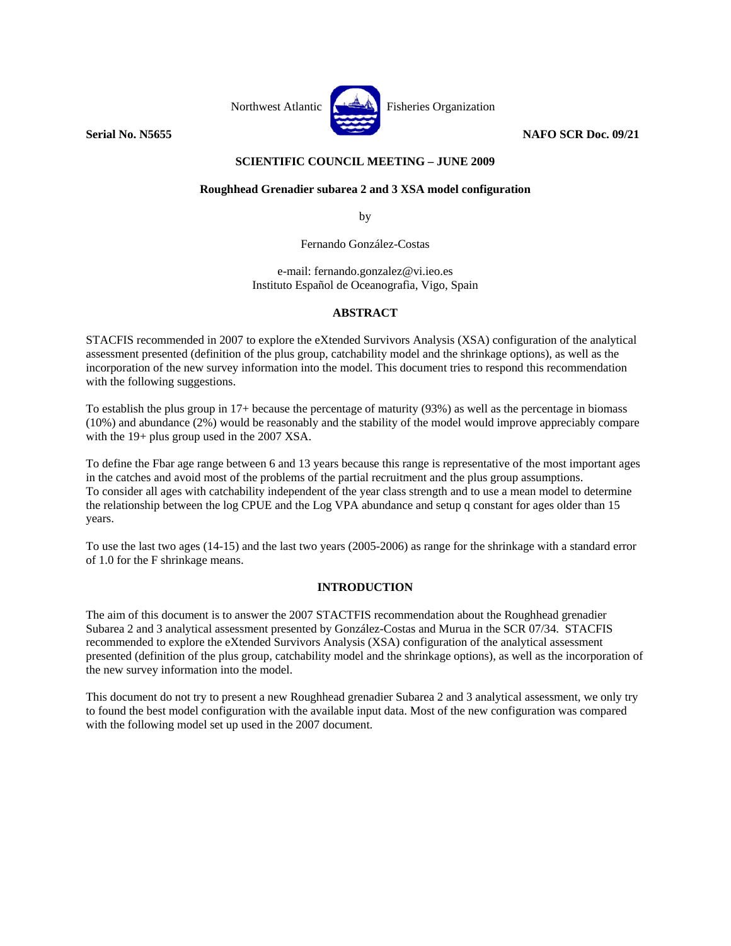

# **SCIENTIFIC COUNCIL MEETING – JUNE 2009**

# **Roughhead Grenadier subarea 2 and 3 XSA model configuration**

by

Fernando González-Costas

e-mail: fernando.gonzalez@vi.ieo.es Instituto Español de Oceanografìa, Vigo, Spain

## **ABSTRACT**

STACFIS recommended in 2007 to explore the eXtended Survivors Analysis (XSA) configuration of the analytical assessment presented (definition of the plus group, catchability model and the shrinkage options), as well as the incorporation of the new survey information into the model. This document tries to respond this recommendation with the following suggestions.

To establish the plus group in 17+ because the percentage of maturity (93%) as well as the percentage in biomass (10%) and abundance (2%) would be reasonably and the stability of the model would improve appreciably compare with the 19+ plus group used in the 2007 XSA.

To define the Fbar age range between 6 and 13 years because this range is representative of the most important ages in the catches and avoid most of the problems of the partial recruitment and the plus group assumptions. To consider all ages with catchability independent of the year class strength and to use a mean model to determine the relationship between the log CPUE and the Log VPA abundance and setup q constant for ages older than 15 years.

To use the last two ages (14-15) and the last two years (2005-2006) as range for the shrinkage with a standard error of 1.0 for the F shrinkage means.

# **INTRODUCTION**

The aim of this document is to answer the 2007 STACTFIS recommendation about the Roughhead grenadier Subarea 2 and 3 analytical assessment presented by González-Costas and Murua in the SCR 07/34. STACFIS recommended to explore the eXtended Survivors Analysis (XSA) configuration of the analytical assessment presented (definition of the plus group, catchability model and the shrinkage options), as well as the incorporation of the new survey information into the model.

This document do not try to present a new Roughhead grenadier Subarea 2 and 3 analytical assessment, we only try to found the best model configuration with the available input data. Most of the new configuration was compared with the following model set up used in the 2007 document.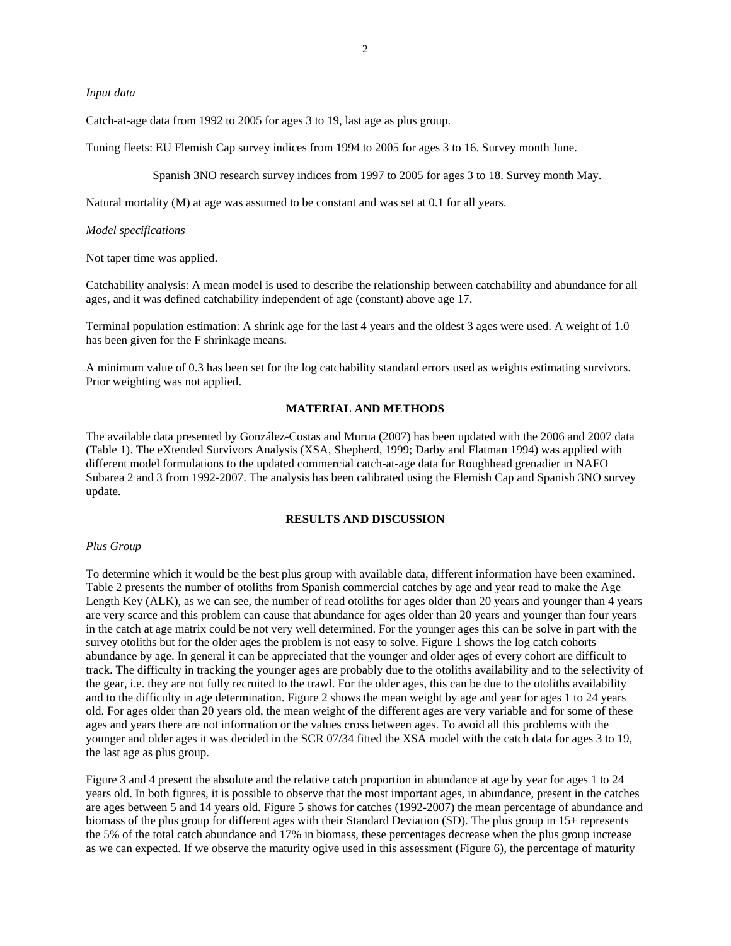#### *Input data*

Catch-at-age data from 1992 to 2005 for ages 3 to 19, last age as plus group.

Tuning fleets: EU Flemish Cap survey indices from 1994 to 2005 for ages 3 to 16. Survey month June.

Spanish 3NO research survey indices from 1997 to 2005 for ages 3 to 18. Survey month May.

Natural mortality (M) at age was assumed to be constant and was set at 0.1 for all years.

#### *Model specifications*

Not taper time was applied.

Catchability analysis: A mean model is used to describe the relationship between catchability and abundance for all ages, and it was defined catchability independent of age (constant) above age 17.

Terminal population estimation: A shrink age for the last 4 years and the oldest 3 ages were used. A weight of 1.0 has been given for the F shrinkage means.

A minimum value of 0.3 has been set for the log catchability standard errors used as weights estimating survivors. Prior weighting was not applied.

### **MATERIAL AND METHODS**

The available data presented by González-Costas and Murua (2007) has been updated with the 2006 and 2007 data (Table 1). The eXtended Survivors Analysis (XSA, Shepherd, 1999; Darby and Flatman 1994) was applied with different model formulations to the updated commercial catch-at-age data for Roughhead grenadier in NAFO Subarea 2 and 3 from 1992-2007. The analysis has been calibrated using the Flemish Cap and Spanish 3NO survey update.

## **RESULTS AND DISCUSSION**

#### *Plus Group*

To determine which it would be the best plus group with available data, different information have been examined. Table 2 presents the number of otoliths from Spanish commercial catches by age and year read to make the Age Length Key (ALK), as we can see, the number of read otoliths for ages older than 20 years and younger than 4 years are very scarce and this problem can cause that abundance for ages older than 20 years and younger than four years in the catch at age matrix could be not very well determined. For the younger ages this can be solve in part with the survey otoliths but for the older ages the problem is not easy to solve. Figure 1 shows the log catch cohorts abundance by age. In general it can be appreciated that the younger and older ages of every cohort are difficult to track. The difficulty in tracking the younger ages are probably due to the otoliths availability and to the selectivity of the gear, i.e. they are not fully recruited to the trawl. For the older ages, this can be due to the otoliths availability and to the difficulty in age determination. Figure 2 shows the mean weight by age and year for ages 1 to 24 years old. For ages older than 20 years old, the mean weight of the different ages are very variable and for some of these ages and years there are not information or the values cross between ages. To avoid all this problems with the younger and older ages it was decided in the SCR 07/34 fitted the XSA model with the catch data for ages 3 to 19, the last age as plus group.

Figure 3 and 4 present the absolute and the relative catch proportion in abundance at age by year for ages 1 to 24 years old. In both figures, it is possible to observe that the most important ages, in abundance, present in the catches are ages between 5 and 14 years old. Figure 5 shows for catches (1992-2007) the mean percentage of abundance and biomass of the plus group for different ages with their Standard Deviation (SD). The plus group in 15+ represents the 5% of the total catch abundance and 17% in biomass, these percentages decrease when the plus group increase as we can expected. If we observe the maturity ogive used in this assessment (Figure 6), the percentage of maturity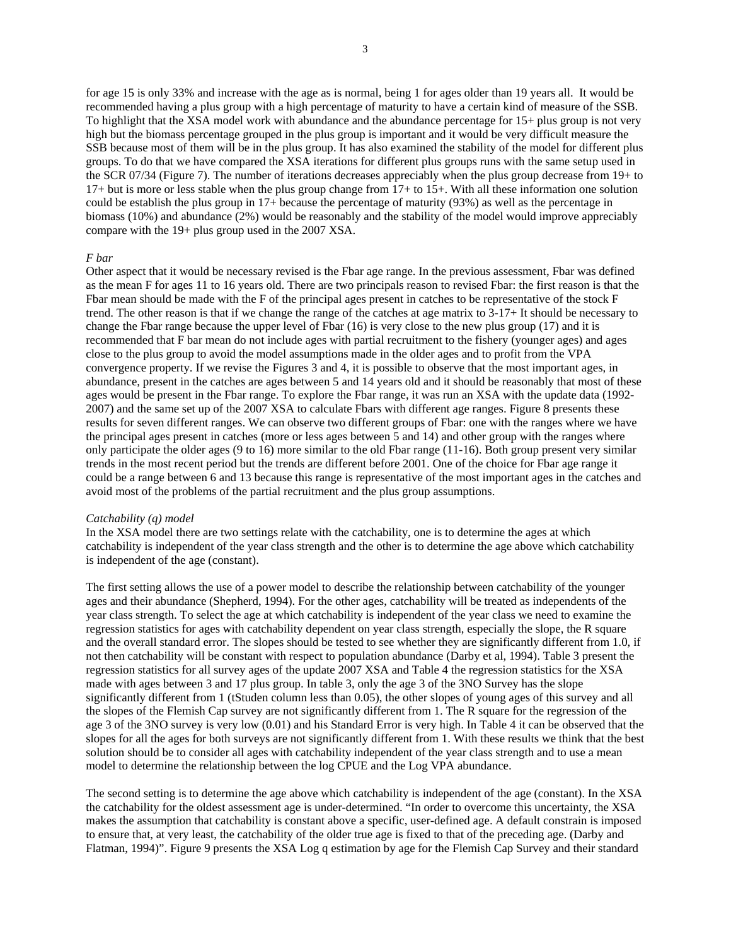for age 15 is only 33% and increase with the age as is normal, being 1 for ages older than 19 years all. It would be recommended having a plus group with a high percentage of maturity to have a certain kind of measure of the SSB. To highlight that the XSA model work with abundance and the abundance percentage for 15+ plus group is not very high but the biomass percentage grouped in the plus group is important and it would be very difficult measure the SSB because most of them will be in the plus group. It has also examined the stability of the model for different plus groups. To do that we have compared the XSA iterations for different plus groups runs with the same setup used in the SCR 07/34 (Figure 7). The number of iterations decreases appreciably when the plus group decrease from 19+ to 17+ but is more or less stable when the plus group change from 17+ to 15+. With all these information one solution could be establish the plus group in 17+ because the percentage of maturity (93%) as well as the percentage in biomass (10%) and abundance (2%) would be reasonably and the stability of the model would improve appreciably compare with the 19+ plus group used in the 2007 XSA.

#### *F bar*

Other aspect that it would be necessary revised is the Fbar age range. In the previous assessment, Fbar was defined as the mean F for ages 11 to 16 years old. There are two principals reason to revised Fbar: the first reason is that the Fbar mean should be made with the F of the principal ages present in catches to be representative of the stock F trend. The other reason is that if we change the range of the catches at age matrix to 3-17+ It should be necessary to change the Fbar range because the upper level of Fbar (16) is very close to the new plus group (17) and it is recommended that F bar mean do not include ages with partial recruitment to the fishery (younger ages) and ages close to the plus group to avoid the model assumptions made in the older ages and to profit from the VPA convergence property. If we revise the Figures 3 and 4, it is possible to observe that the most important ages, in abundance, present in the catches are ages between 5 and 14 years old and it should be reasonably that most of these ages would be present in the Fbar range. To explore the Fbar range, it was run an XSA with the update data (1992- 2007) and the same set up of the 2007 XSA to calculate Fbars with different age ranges. Figure 8 presents these results for seven different ranges. We can observe two different groups of Fbar: one with the ranges where we have the principal ages present in catches (more or less ages between 5 and 14) and other group with the ranges where only participate the older ages (9 to 16) more similar to the old Fbar range (11-16). Both group present very similar trends in the most recent period but the trends are different before 2001. One of the choice for Fbar age range it could be a range between 6 and 13 because this range is representative of the most important ages in the catches and avoid most of the problems of the partial recruitment and the plus group assumptions.

#### *Catchability (q) model*

In the XSA model there are two settings relate with the catchability, one is to determine the ages at which catchability is independent of the year class strength and the other is to determine the age above which catchability is independent of the age (constant).

The first setting allows the use of a power model to describe the relationship between catchability of the younger ages and their abundance (Shepherd, 1994). For the other ages, catchability will be treated as independents of the year class strength. To select the age at which catchability is independent of the year class we need to examine the regression statistics for ages with catchability dependent on year class strength, especially the slope, the R square and the overall standard error. The slopes should be tested to see whether they are significantly different from 1.0, if not then catchability will be constant with respect to population abundance (Darby et al, 1994). Table 3 present the regression statistics for all survey ages of the update 2007 XSA and Table 4 the regression statistics for the XSA made with ages between 3 and 17 plus group. In table 3, only the age 3 of the 3NO Survey has the slope significantly different from 1 (tStuden column less than 0.05), the other slopes of young ages of this survey and all the slopes of the Flemish Cap survey are not significantly different from 1. The R square for the regression of the age 3 of the 3NO survey is very low (0.01) and his Standard Error is very high. In Table 4 it can be observed that the slopes for all the ages for both surveys are not significantly different from 1. With these results we think that the best solution should be to consider all ages with catchability independent of the year class strength and to use a mean model to determine the relationship between the log CPUE and the Log VPA abundance.

The second setting is to determine the age above which catchability is independent of the age (constant). In the XSA the catchability for the oldest assessment age is under-determined. "In order to overcome this uncertainty, the XSA makes the assumption that catchability is constant above a specific, user-defined age. A default constrain is imposed to ensure that, at very least, the catchability of the older true age is fixed to that of the preceding age. (Darby and Flatman, 1994)". Figure 9 presents the XSA Log q estimation by age for the Flemish Cap Survey and their standard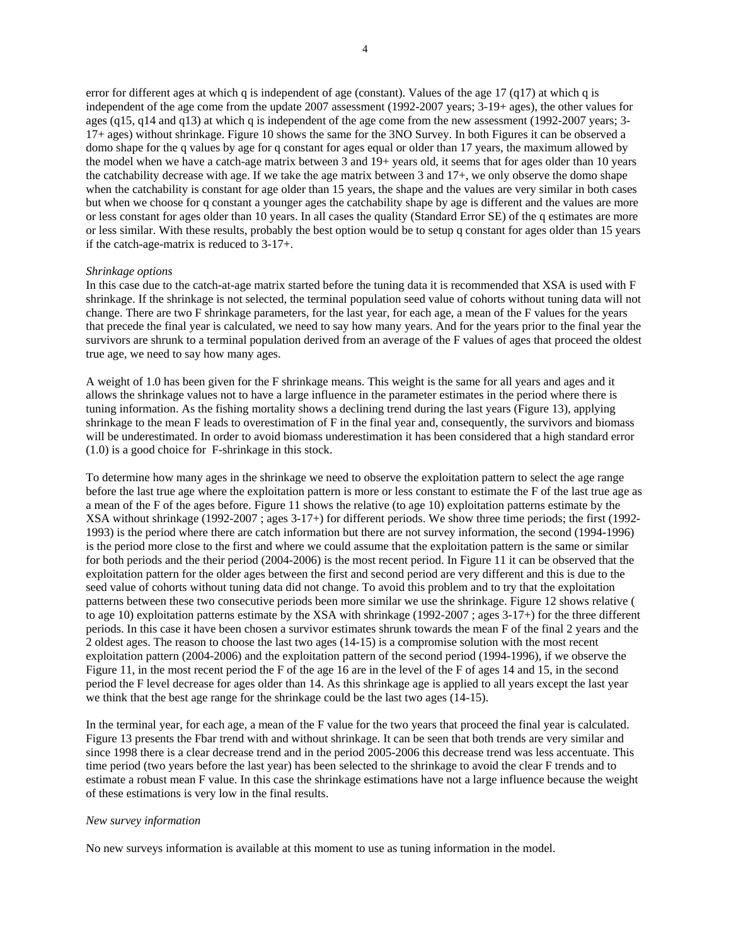error for different ages at which q is independent of age (constant). Values of the age 17 (q17) at which q is independent of the age come from the update 2007 assessment (1992-2007 years; 3-19+ ages), the other values for ages (q15, q14 and q13) at which q is independent of the age come from the new assessment (1992-2007 years; 3- 17+ ages) without shrinkage. Figure 10 shows the same for the 3NO Survey. In both Figures it can be observed a domo shape for the q values by age for q constant for ages equal or older than 17 years, the maximum allowed by the model when we have a catch-age matrix between 3 and 19+ years old, it seems that for ages older than 10 years the catchability decrease with age. If we take the age matrix between 3 and 17+, we only observe the domo shape when the catchability is constant for age older than 15 years, the shape and the values are very similar in both cases but when we choose for q constant a younger ages the catchability shape by age is different and the values are more or less constant for ages older than 10 years. In all cases the quality (Standard Error SE) of the q estimates are more or less similar. With these results, probably the best option would be to setup q constant for ages older than 15 years if the catch-age-matrix is reduced to 3-17+.

#### *Shrinkage options*

In this case due to the catch-at-age matrix started before the tuning data it is recommended that XSA is used with F shrinkage. If the shrinkage is not selected, the terminal population seed value of cohorts without tuning data will not change. There are two F shrinkage parameters, for the last year, for each age, a mean of the F values for the years that precede the final year is calculated, we need to say how many years. And for the years prior to the final year the survivors are shrunk to a terminal population derived from an average of the F values of ages that proceed the oldest true age, we need to say how many ages.

A weight of 1.0 has been given for the F shrinkage means. This weight is the same for all years and ages and it allows the shrinkage values not to have a large influence in the parameter estimates in the period where there is tuning information. As the fishing mortality shows a declining trend during the last years (Figure 13), applying shrinkage to the mean F leads to overestimation of F in the final year and, consequently, the survivors and biomass will be underestimated. In order to avoid biomass underestimation it has been considered that a high standard error (1.0) is a good choice for F-shrinkage in this stock.

To determine how many ages in the shrinkage we need to observe the exploitation pattern to select the age range before the last true age where the exploitation pattern is more or less constant to estimate the F of the last true age as a mean of the F of the ages before. Figure 11 shows the relative (to age 10) exploitation patterns estimate by the XSA without shrinkage (1992-2007 ; ages 3-17+) for different periods. We show three time periods; the first (1992- 1993) is the period where there are catch information but there are not survey information, the second (1994-1996) is the period more close to the first and where we could assume that the exploitation pattern is the same or similar for both periods and the their period (2004-2006) is the most recent period. In Figure 11 it can be observed that the exploitation pattern for the older ages between the first and second period are very different and this is due to the seed value of cohorts without tuning data did not change. To avoid this problem and to try that the exploitation patterns between these two consecutive periods been more similar we use the shrinkage. Figure 12 shows relative ( to age 10) exploitation patterns estimate by the XSA with shrinkage (1992-2007 ; ages 3-17+) for the three different periods. In this case it have been chosen a survivor estimates shrunk towards the mean F of the final 2 years and the 2 oldest ages. The reason to choose the last two ages (14-15) is a compromise solution with the most recent exploitation pattern (2004-2006) and the exploitation pattern of the second period (1994-1996), if we observe the Figure 11, in the most recent period the F of the age 16 are in the level of the F of ages 14 and 15, in the second period the F level decrease for ages older than 14. As this shrinkage age is applied to all years except the last year we think that the best age range for the shrinkage could be the last two ages (14-15).

In the terminal year, for each age, a mean of the F value for the two years that proceed the final year is calculated. Figure 13 presents the Fbar trend with and without shrinkage. It can be seen that both trends are very similar and since 1998 there is a clear decrease trend and in the period 2005-2006 this decrease trend was less accentuate. This time period (two years before the last year) has been selected to the shrinkage to avoid the clear F trends and to estimate a robust mean F value. In this case the shrinkage estimations have not a large influence because the weight of these estimations is very low in the final results.

### *New survey information*

No new surveys information is available at this moment to use as tuning information in the model.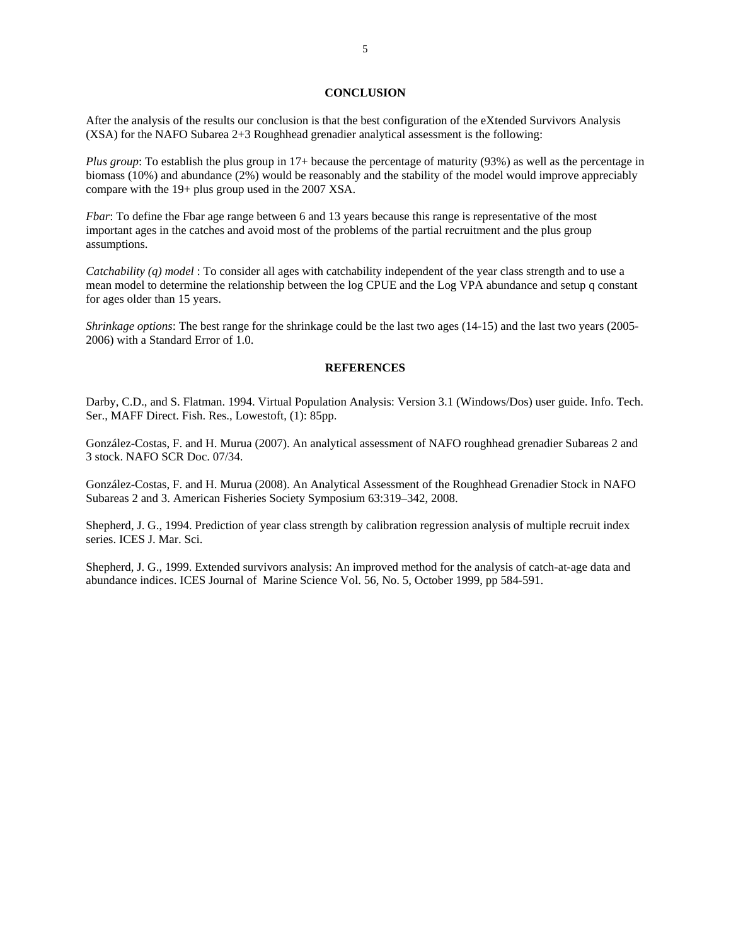### **CONCLUSION**

After the analysis of the results our conclusion is that the best configuration of the eXtended Survivors Analysis (XSA) for the NAFO Subarea 2+3 Roughhead grenadier analytical assessment is the following:

*Plus group*: To establish the plus group in 17+ because the percentage of maturity (93%) as well as the percentage in biomass (10%) and abundance (2%) would be reasonably and the stability of the model would improve appreciably compare with the 19+ plus group used in the 2007 XSA.

*Fbar*: To define the Fbar age range between 6 and 13 years because this range is representative of the most important ages in the catches and avoid most of the problems of the partial recruitment and the plus group assumptions.

*Catchability (q) model* : To consider all ages with catchability independent of the year class strength and to use a mean model to determine the relationship between the log CPUE and the Log VPA abundance and setup q constant for ages older than 15 years.

*Shrinkage options*: The best range for the shrinkage could be the last two ages (14-15) and the last two years (2005- 2006) with a Standard Error of 1.0.

## **REFERENCES**

Darby, C.D., and S. Flatman. 1994. Virtual Population Analysis: Version 3.1 (Windows/Dos) user guide. Info. Tech. Ser., MAFF Direct. Fish. Res., Lowestoft, (1): 85pp.

González-Costas, F. and H. Murua (2007). An analytical assessment of NAFO roughhead grenadier Subareas 2 and 3 stock. NAFO SCR Doc. 07/34.

González-Costas, F. and H. Murua (2008). An Analytical Assessment of the Roughhead Grenadier Stock in NAFO Subareas 2 and 3. American Fisheries Society Symposium 63:319–342, 2008.

Shepherd, J. G., 1994. Prediction of year class strength by calibration regression analysis of multiple recruit index series. ICES J. Mar. Sci.

Shepherd, J. G., 1999. Extended survivors analysis: An improved method for the analysis of catch-at-age data and abundance indices. ICES Journal of Marine Science Vol. 56, No. 5, October 1999, pp 584-591.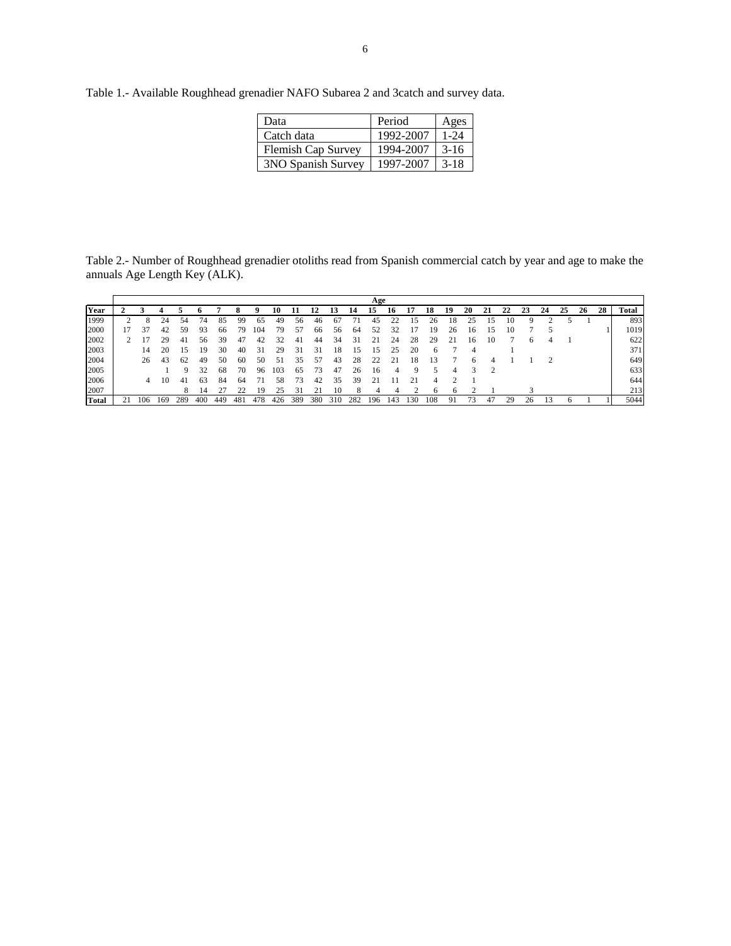Table 1.- Available Roughhead grenadier NAFO Subarea 2 and 3catch and survey data.

| Data               | Period    | Ages   |
|--------------------|-----------|--------|
| Catch data         | 1992-2007 | 1-24   |
| Flemish Cap Survey | 1994-2007 | $3-16$ |
| 3NO Spanish Survey | 1997-2007 | $3-18$ |

Table 2.- Number of Roughhead grenadier otoliths read from Spanish commercial catch by year and age to make the annuals Age Length Key (ALK).

|       |     |     |     |     |     |     |     |     |     |     |     |     | Age            |     |    |     |    |    |    |    |    |    |    |    |    |              |
|-------|-----|-----|-----|-----|-----|-----|-----|-----|-----|-----|-----|-----|----------------|-----|----|-----|----|----|----|----|----|----|----|----|----|--------------|
| Year  |     |     |     |     |     |     |     | 10  |     | 12  | 13  | 14  | 15             | 16  |    | 18  | 19 | 20 | 21 | 22 | 23 | 24 | 25 | 26 | 28 | <b>Total</b> |
| 1999  |     | 24  | 54  |     | 85  | 99  | 65  | 49  | 56  | 46  | 67  |     | 45             |     |    | 26  | 18 | 25 |    |    |    |    |    |    |    | 893          |
| 2000  |     | 42  | 59  | 93  | 66  | 79  | 104 | 79  | 57  | 66  | 56  | 64  | 52             |     |    | 19  | 26 | 16 |    |    |    |    |    |    |    | 1019         |
| 2002  |     | 29  | 41  | 56  | 39  | 47  | 42  |     | 41  | 44  | 34  | 31  | $\overline{2}$ | 24  | 28 | 29  |    | 16 | 10 |    | n  |    |    |    |    | 622          |
| 2003  | 14  | 20  | 15  | 19  | 30  | 40  | 31  | 29  | 31  | 31  | 18  | 15  |                | 25  | 20 | 6   |    |    |    |    |    |    |    |    |    | 371          |
| 2004  | 26  | 43  | 62  | 49  | 50  | 60  | 50  | 51  | 35  | 57  | 43  | 28  | 22             | 21  | 18 | 13  |    |    |    |    |    |    |    |    |    | 649          |
| 2005  |     |     | a   | 32  | 68  | 70  | 96  | 103 | 65  | 73  | 47  | 26  | 16             | 4   | Q  |     |    |    |    |    |    |    |    |    |    | 633          |
| 2006  | 4   | 10  | 41  | 63  | 84  | 64  | 71  | 58  | 73  | 42  | 35  | 39  | 21             |     | 21 |     |    |    |    |    |    |    |    |    |    | 644          |
| 2007  |     |     |     |     |     |     | 19  | 25  |     |     |     |     |                |     |    |     |    |    |    |    |    |    |    |    |    | 213          |
| Total | 106 | 169 | 289 | 400 | 449 | 48. | 478 | 426 | 389 | 380 | 310 | 282 | 196            | 143 | 30 | 108 |    |    | 47 | 29 |    |    |    |    |    | 5044         |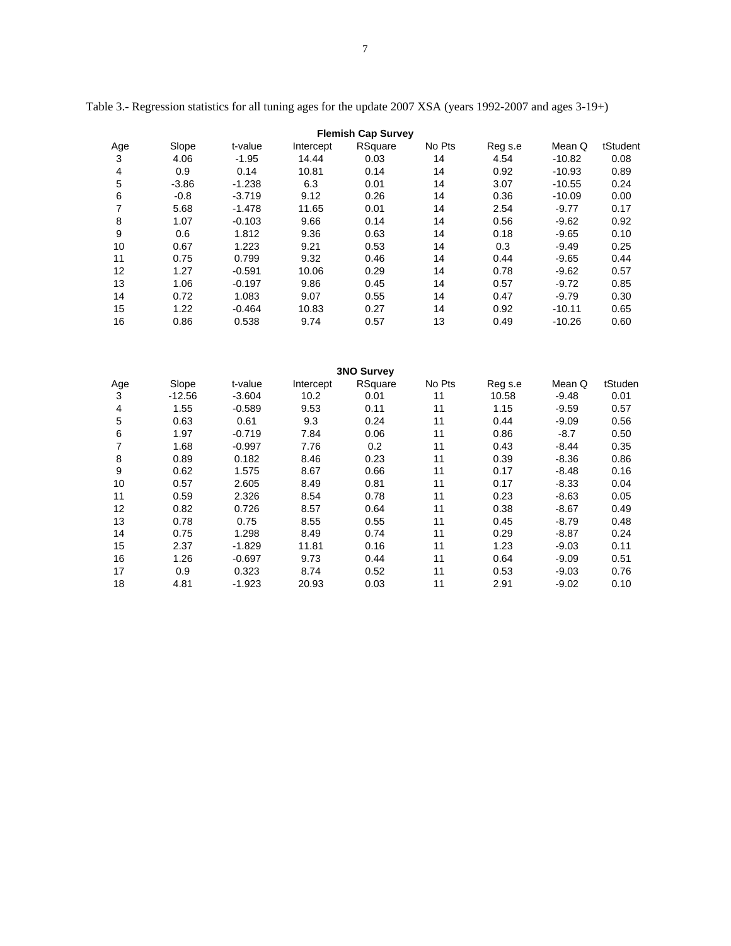| <b>Flemish Cap Survey</b> |         |          |           |         |        |         |          |          |  |  |
|---------------------------|---------|----------|-----------|---------|--------|---------|----------|----------|--|--|
| Age                       | Slope   | t-value  | Intercept | RSquare | No Pts | Reg s.e | Mean Q   | tStudent |  |  |
| 3                         | 4.06    | $-1.95$  | 14.44     | 0.03    | 14     | 4.54    | $-10.82$ | 0.08     |  |  |
| 4                         | 0.9     | 0.14     | 10.81     | 0.14    | 14     | 0.92    | $-10.93$ | 0.89     |  |  |
| 5                         | $-3.86$ | $-1.238$ | 6.3       | 0.01    | 14     | 3.07    | $-10.55$ | 0.24     |  |  |
| 6                         | $-0.8$  | $-3.719$ | 9.12      | 0.26    | 14     | 0.36    | $-10.09$ | 0.00     |  |  |
| 7                         | 5.68    | $-1.478$ | 11.65     | 0.01    | 14     | 2.54    | $-9.77$  | 0.17     |  |  |
| 8                         | 1.07    | $-0.103$ | 9.66      | 0.14    | 14     | 0.56    | $-9.62$  | 0.92     |  |  |
| 9                         | 0.6     | 1.812    | 9.36      | 0.63    | 14     | 0.18    | $-9.65$  | 0.10     |  |  |
| 10                        | 0.67    | 1.223    | 9.21      | 0.53    | 14     | 0.3     | $-9.49$  | 0.25     |  |  |
| 11                        | 0.75    | 0.799    | 9.32      | 0.46    | 14     | 0.44    | $-9.65$  | 0.44     |  |  |
| 12                        | 1.27    | $-0.591$ | 10.06     | 0.29    | 14     | 0.78    | $-9.62$  | 0.57     |  |  |
| 13                        | 1.06    | $-0.197$ | 9.86      | 0.45    | 14     | 0.57    | $-9.72$  | 0.85     |  |  |
| 14                        | 0.72    | 1.083    | 9.07      | 0.55    | 14     | 0.47    | $-9.79$  | 0.30     |  |  |
| 15                        | 1.22    | $-0.464$ | 10.83     | 0.27    | 14     | 0.92    | $-10.11$ | 0.65     |  |  |
| 16                        | 0.86    | 0.538    | 9.74      | 0.57    | 13     | 0.49    | $-10.26$ | 0.60     |  |  |

Table 3.- Regression statistics for all tuning ages for the update 2007 XSA (years 1992-2007 and ages 3-19+)

| <b>3NO Survey</b> |          |          |           |         |        |         |         |         |  |  |
|-------------------|----------|----------|-----------|---------|--------|---------|---------|---------|--|--|
| Age               | Slope    | t-value  | Intercept | RSquare | No Pts | Reg s.e | Mean Q  | tStuden |  |  |
| 3                 | $-12.56$ | $-3.604$ | 10.2      | 0.01    | 11     | 10.58   | $-9.48$ | 0.01    |  |  |
| 4                 | 1.55     | $-0.589$ | 9.53      | 0.11    | 11     | 1.15    | $-9.59$ | 0.57    |  |  |
| 5                 | 0.63     | 0.61     | 9.3       | 0.24    | 11     | 0.44    | $-9.09$ | 0.56    |  |  |
| 6                 | 1.97     | $-0.719$ | 7.84      | 0.06    | 11     | 0.86    | $-8.7$  | 0.50    |  |  |
| 7                 | 1.68     | $-0.997$ | 7.76      | 0.2     | 11     | 0.43    | $-8.44$ | 0.35    |  |  |
| 8                 | 0.89     | 0.182    | 8.46      | 0.23    | 11     | 0.39    | $-8.36$ | 0.86    |  |  |
| 9                 | 0.62     | 1.575    | 8.67      | 0.66    | 11     | 0.17    | $-8.48$ | 0.16    |  |  |
| 10                | 0.57     | 2.605    | 8.49      | 0.81    | 11     | 0.17    | $-8.33$ | 0.04    |  |  |
| 11                | 0.59     | 2.326    | 8.54      | 0.78    | 11     | 0.23    | $-8.63$ | 0.05    |  |  |
| 12                | 0.82     | 0.726    | 8.57      | 0.64    | 11     | 0.38    | $-8.67$ | 0.49    |  |  |
| 13                | 0.78     | 0.75     | 8.55      | 0.55    | 11     | 0.45    | $-8.79$ | 0.48    |  |  |
| 14                | 0.75     | 1.298    | 8.49      | 0.74    | 11     | 0.29    | $-8.87$ | 0.24    |  |  |
| 15                | 2.37     | $-1.829$ | 11.81     | 0.16    | 11     | 1.23    | $-9.03$ | 0.11    |  |  |
| 16                | 1.26     | $-0.697$ | 9.73      | 0.44    | 11     | 0.64    | $-9.09$ | 0.51    |  |  |
| 17                | 0.9      | 0.323    | 8.74      | 0.52    | 11     | 0.53    | $-9.03$ | 0.76    |  |  |
| 18                | 4.81     | $-1.923$ | 20.93     | 0.03    | 11     | 2.91    | $-9.02$ | 0.10    |  |  |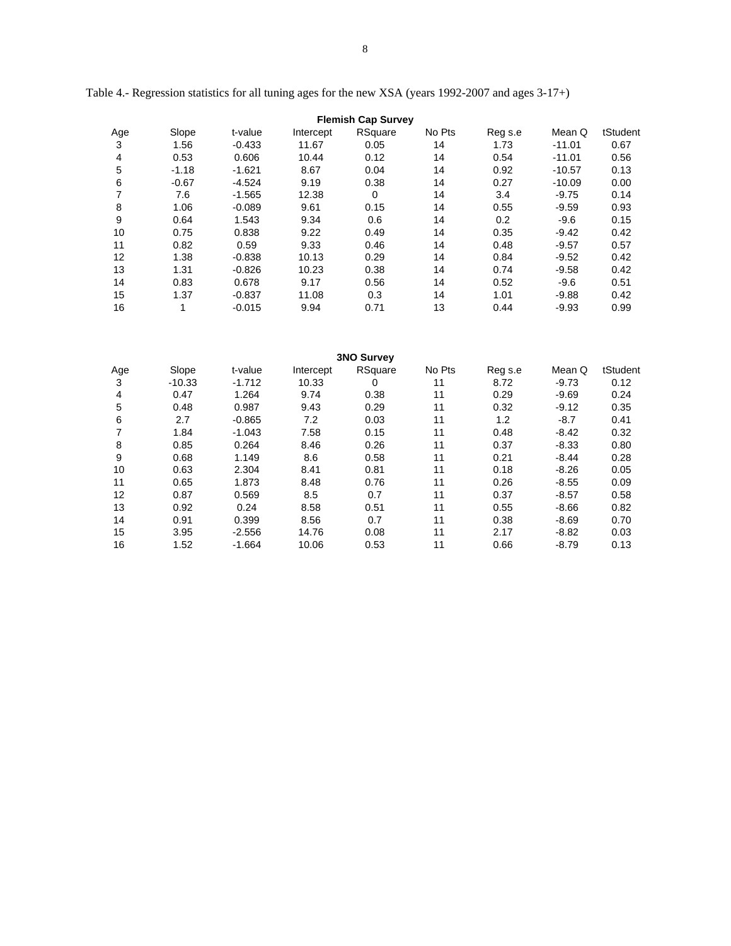|  | I |
|--|---|

| <b>Flemish Cap Survey</b> |         |          |           |             |        |         |          |          |  |  |
|---------------------------|---------|----------|-----------|-------------|--------|---------|----------|----------|--|--|
| Age                       | Slope   | t-value  | Intercept | RSquare     | No Pts | Reg s.e | Mean Q   | tStudent |  |  |
| 3                         | 1.56    | $-0.433$ | 11.67     | 0.05        | 14     | 1.73    | $-11.01$ | 0.67     |  |  |
| 4                         | 0.53    | 0.606    | 10.44     | 0.12        | 14     | 0.54    | $-11.01$ | 0.56     |  |  |
| 5                         | $-1.18$ | $-1.621$ | 8.67      | 0.04        | 14     | 0.92    | $-10.57$ | 0.13     |  |  |
| 6                         | $-0.67$ | $-4.524$ | 9.19      | 0.38        | 14     | 0.27    | $-10.09$ | 0.00     |  |  |
| 7                         | 7.6     | $-1.565$ | 12.38     | $\mathbf 0$ | 14     | 3.4     | $-9.75$  | 0.14     |  |  |
| 8                         | 1.06    | $-0.089$ | 9.61      | 0.15        | 14     | 0.55    | $-9.59$  | 0.93     |  |  |
| 9                         | 0.64    | 1.543    | 9.34      | 0.6         | 14     | 0.2     | $-9.6$   | 0.15     |  |  |
| 10                        | 0.75    | 0.838    | 9.22      | 0.49        | 14     | 0.35    | $-9.42$  | 0.42     |  |  |
| 11                        | 0.82    | 0.59     | 9.33      | 0.46        | 14     | 0.48    | $-9.57$  | 0.57     |  |  |
| 12                        | 1.38    | $-0.838$ | 10.13     | 0.29        | 14     | 0.84    | $-9.52$  | 0.42     |  |  |
| 13                        | 1.31    | $-0.826$ | 10.23     | 0.38        | 14     | 0.74    | $-9.58$  | 0.42     |  |  |
| 14                        | 0.83    | 0.678    | 9.17      | 0.56        | 14     | 0.52    | $-9.6$   | 0.51     |  |  |
| 15                        | 1.37    | $-0.837$ | 11.08     | 0.3         | 14     | 1.01    | $-9.88$  | 0.42     |  |  |
| 16                        | 1       | $-0.015$ | 9.94      | 0.71        | 13     | 0.44    | $-9.93$  | 0.99     |  |  |

Table 4.- Regression statistics for all tuning ages for the new XSA (years 1992-2007 and ages 3-17+)

| <b>3NO Survey</b> |          |          |           |         |        |         |         |          |  |  |
|-------------------|----------|----------|-----------|---------|--------|---------|---------|----------|--|--|
| Age               | Slope    | t-value  | Intercept | RSquare | No Pts | Reg s.e | Mean Q  | tStudent |  |  |
| 3                 | $-10.33$ | $-1.712$ | 10.33     | 0       | 11     | 8.72    | $-9.73$ | 0.12     |  |  |
| 4                 | 0.47     | 1.264    | 9.74      | 0.38    | 11     | 0.29    | $-9.69$ | 0.24     |  |  |
| 5                 | 0.48     | 0.987    | 9.43      | 0.29    | 11     | 0.32    | $-9.12$ | 0.35     |  |  |
| 6                 | 2.7      | $-0.865$ | 7.2       | 0.03    | 11     | 1.2     | $-8.7$  | 0.41     |  |  |
|                   | 1.84     | $-1.043$ | 7.58      | 0.15    | 11     | 0.48    | $-8.42$ | 0.32     |  |  |
| 8                 | 0.85     | 0.264    | 8.46      | 0.26    | 11     | 0.37    | $-8.33$ | 0.80     |  |  |
| 9                 | 0.68     | 1.149    | 8.6       | 0.58    | 11     | 0.21    | $-8.44$ | 0.28     |  |  |
| 10                | 0.63     | 2.304    | 8.41      | 0.81    | 11     | 0.18    | $-8.26$ | 0.05     |  |  |
| 11                | 0.65     | 1.873    | 8.48      | 0.76    | 11     | 0.26    | $-8.55$ | 0.09     |  |  |
| 12                | 0.87     | 0.569    | 8.5       | 0.7     | 11     | 0.37    | $-8.57$ | 0.58     |  |  |
| 13                | 0.92     | 0.24     | 8.58      | 0.51    | 11     | 0.55    | $-8.66$ | 0.82     |  |  |
| 14                | 0.91     | 0.399    | 8.56      | 0.7     | 11     | 0.38    | $-8.69$ | 0.70     |  |  |
| 15                | 3.95     | $-2.556$ | 14.76     | 0.08    | 11     | 2.17    | $-8.82$ | 0.03     |  |  |
| 16                | 1.52     | $-1.664$ | 10.06     | 0.53    | 11     | 0.66    | $-8.79$ | 0.13     |  |  |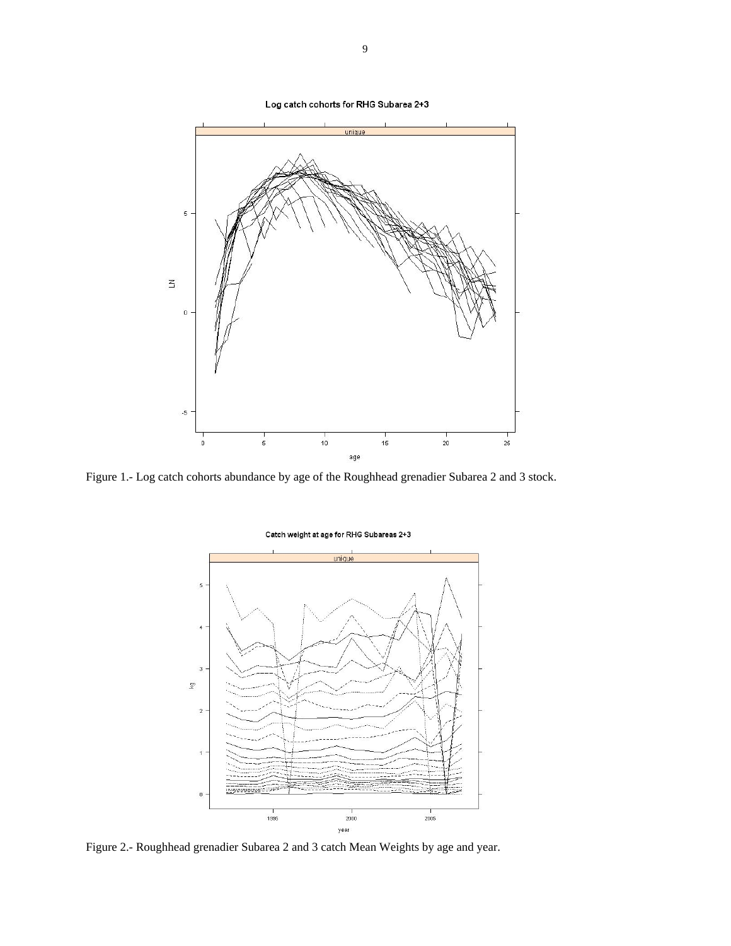uniqu  $\sqrt{5}$  $\leq$  $\overline{0}$  $-5$  $\frac{1}{20}$  $10<sup>1</sup>$  $15$  $\overline{0}$  $\sf 5$ 25 age

Figure 1.- Log catch cohorts abundance by age of the Roughhead grenadier Subarea 2 and 3 stock.



Figure 2.- Roughhead grenadier Subarea 2 and 3 catch Mean Weights by age and year.

#### Catch weight at age for RHG Subareas 2+3

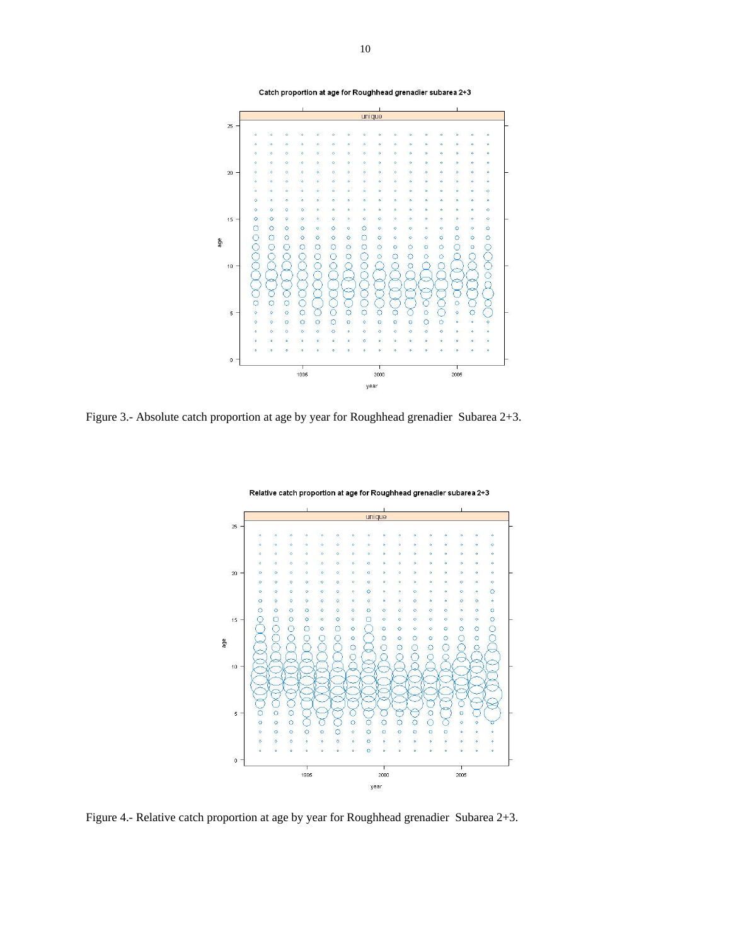



Figure 3.- Absolute catch proportion at age by year for Roughhead grenadier Subarea 2+3.



Relative catch proportion at age for Roughhead grenadier subarea 2+3

Figure 4.- Relative catch proportion at age by year for Roughhead grenadier Subarea 2+3.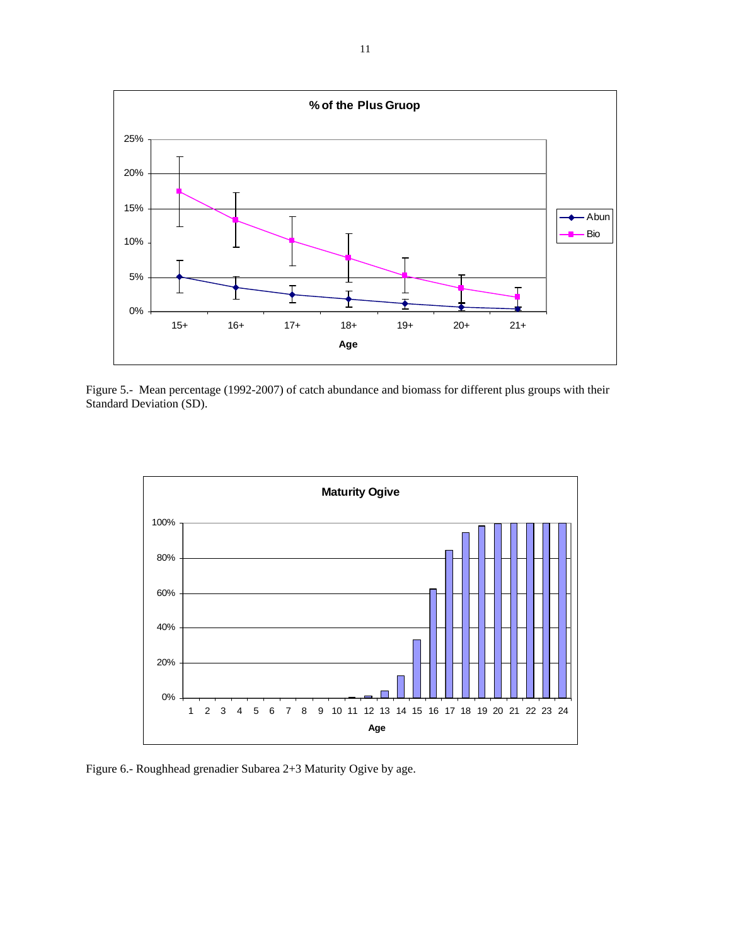

Figure 5.- Mean percentage (1992-2007) of catch abundance and biomass for different plus groups with their Standard Deviation (SD).



Figure 6.- Roughhead grenadier Subarea 2+3 Maturity Ogive by age.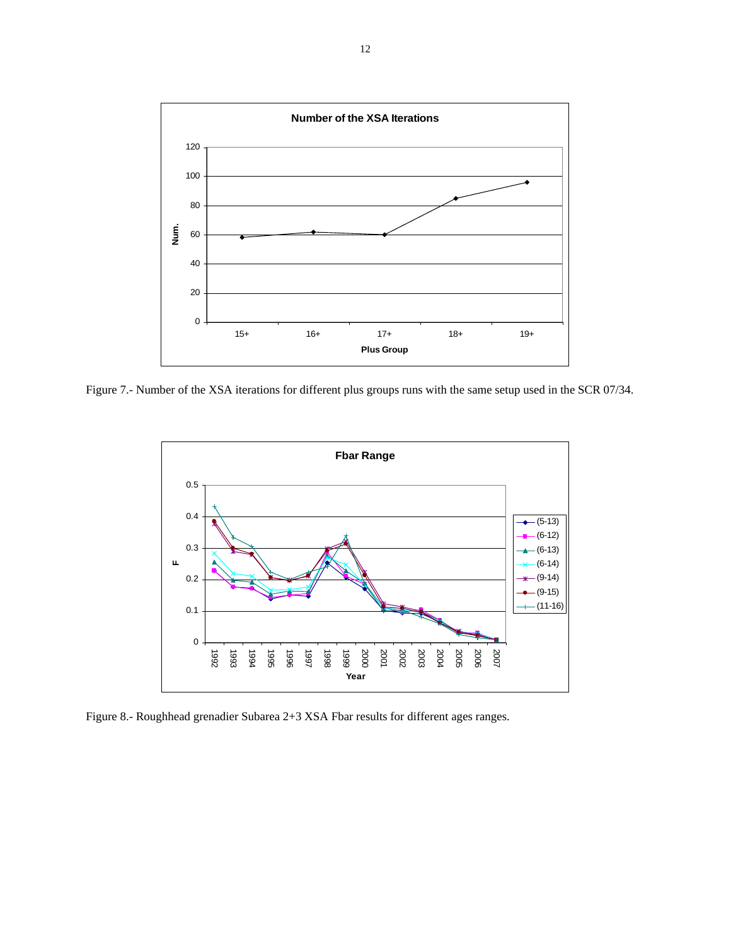

Figure 7.- Number of the XSA iterations for different plus groups runs with the same setup used in the SCR 07/34.



Figure 8.- Roughhead grenadier Subarea 2+3 XSA Fbar results for different ages ranges.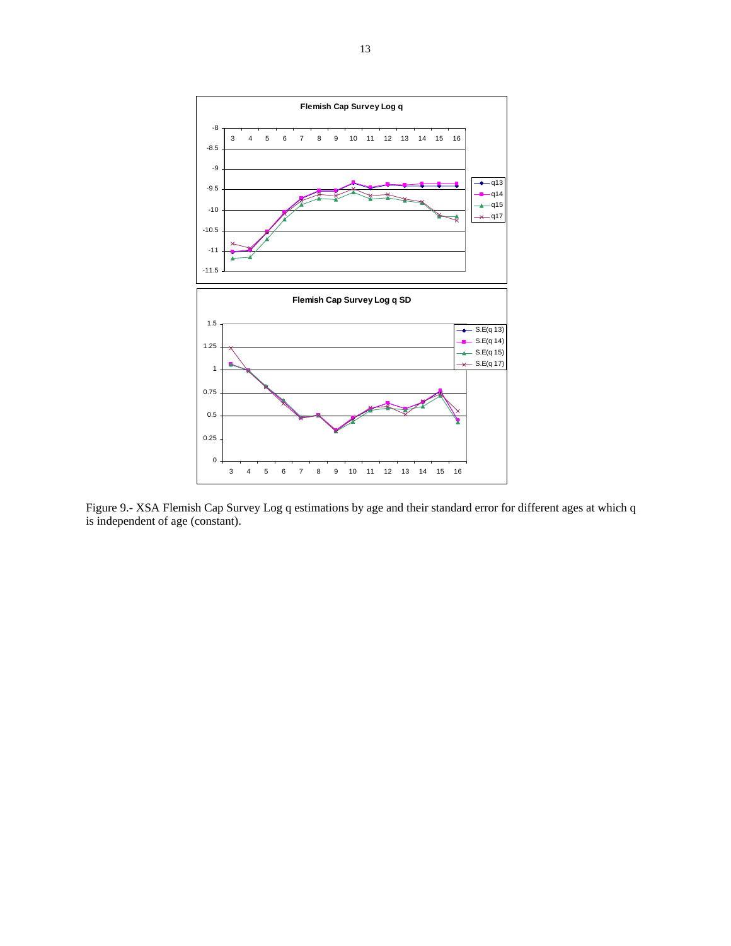

Figure 9.- XSA Flemish Cap Survey Log q estimations by age and their standard error for different ages at which q is independent of age (constant).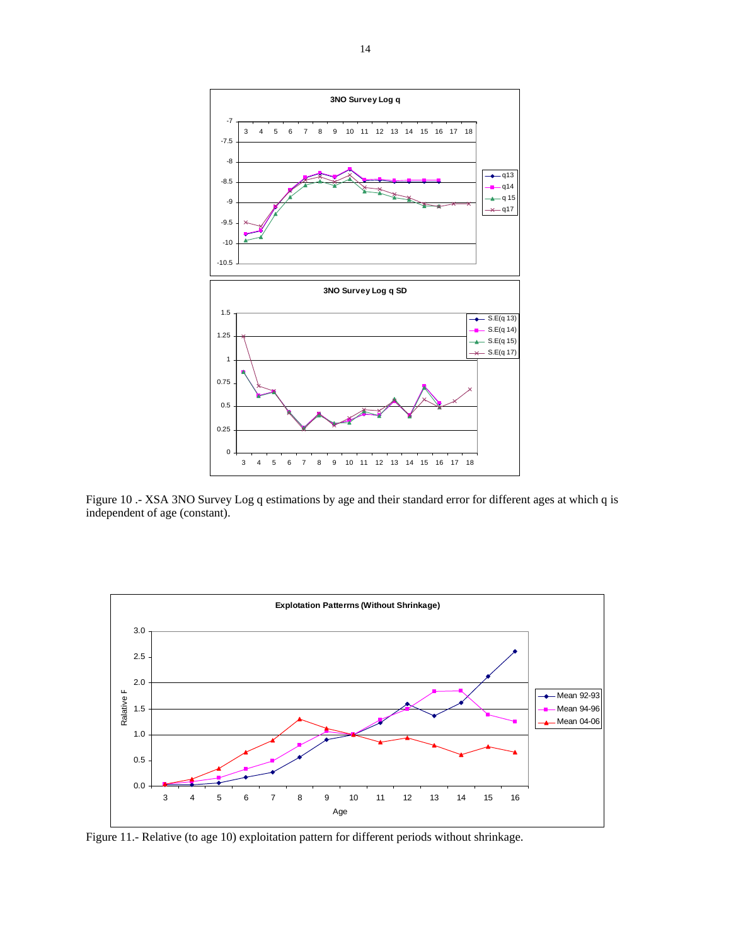

Figure 10 .- XSA 3NO Survey Log q estimations by age and their standard error for different ages at which q is independent of age (constant).



Figure 11.- Relative (to age 10) exploitation pattern for different periods without shrinkage.